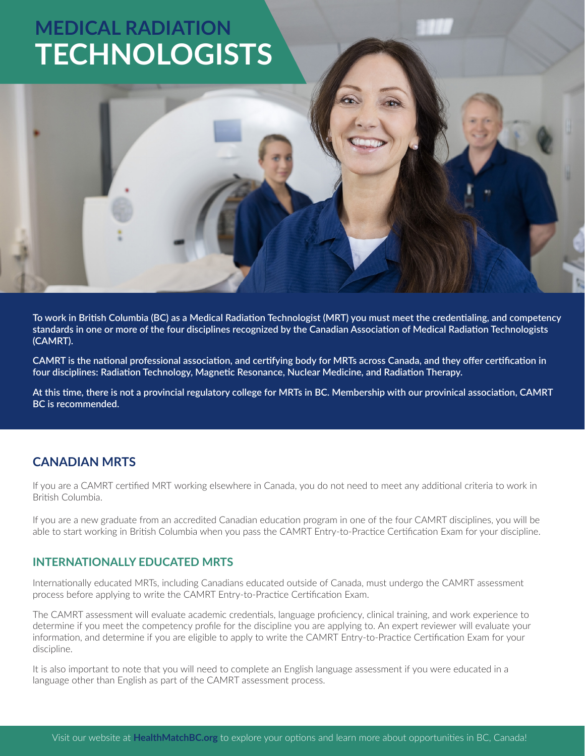# **MEDICAL RADIATION [TECHNOLOGISTS](https://www.healthmatchbc.org/lp/MRT?utm_source=pdf&utm_medium=pdf&utm_campaign=MRT-Lic-Info-PDF-2021-05)**

**To work in British Columbia (BC) as a Medical Radiation Technologist (MRT) you must meet the credentialing, and competency standards in one or more of the four disciplines recognized by the Canadian Association of Medical Radiation Technologists (CAMRT).** 

**CAMRT is the national professional association, and certifying body for MRTs across Canada, and they offer certification in four disciplines: Radiation Technology, Magnetic Resonance, Nuclear Medicine, and Radiation Therapy.**

**At this time, there is not a provincial regulatory college for MRTs in BC. Membership with our provinical association, CAMRT BC is recommended.**

### **CANADIAN MRTS**

If you are a CAMRT certified MRT working elsewhere in Canada, you do not need to meet any additional criteria to work in British Columbia.

If you are a new graduate from an accredited Canadian education program in one of the four CAMRT disciplines, you will be able to start working in British Columbia when you pass the CAMRT Entry-to-Practice Certification Exam for your discipline.

### **INTERNATIONALLY EDUCATED MRTS**

Internationally educated MRTs, including Canadians educated outside of Canada, must undergo the CAMRT assessment process before applying to write the CAMRT Entry-to-Practice Certification Exam.

The CAMRT assessment will evaluate academic credentials, language proficiency, clinical training, and work experience to determine if you meet the competency profile for the discipline you are applying to. An expert reviewer will evaluate your information, and determine if you are eligible to apply to write the CAMRT Entry-to-Practice Certification Exam for your discipline.

It is also important to note that you will need to complete an English language assessment if you were educated in a language other than English as part of the CAMRT assessment process.